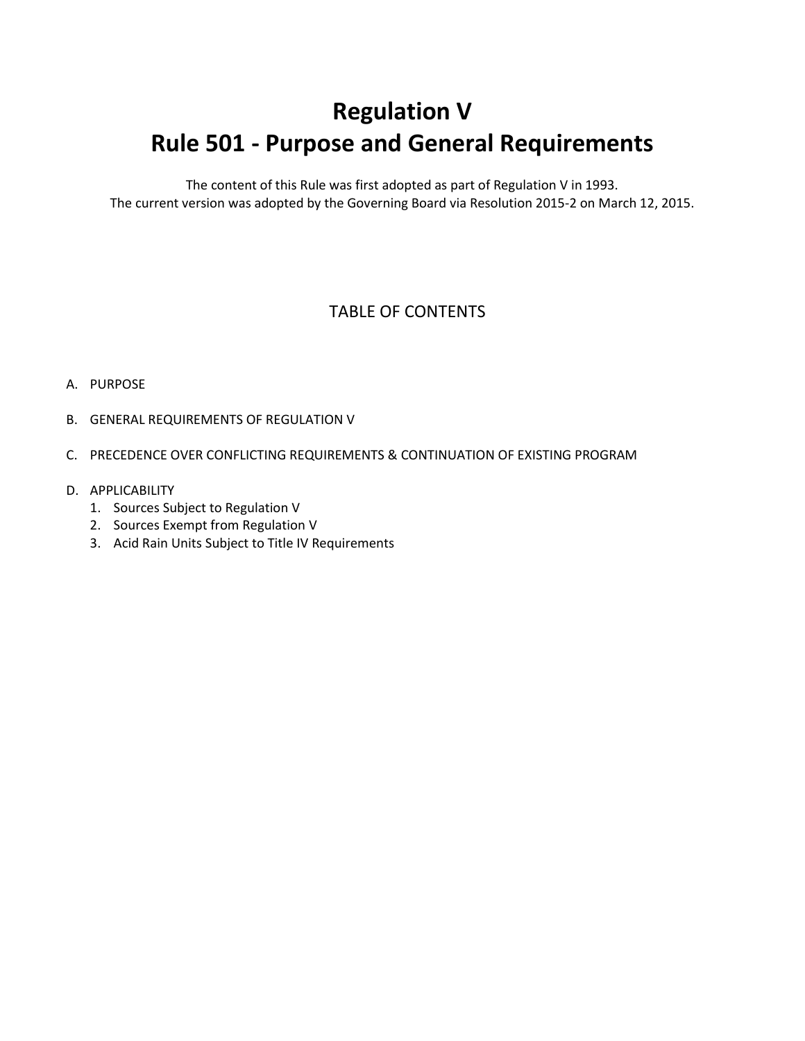# **Regulation V Rule 501 - Purpose and General Requirements**

The content of this Rule was first adopted as part of Regulation V in 1993. The current version was adopted by the Governing Board via Resolution 2015-2 on March 12, 2015.

### TABLE OF CONTENTS

#### A. PURPOSE

- B. GENERAL REQUIREMENTS OF REGULATION V
- C. PRECEDENCE OVER CONFLICTING REQUIREMENTS & CONTINUATION OF EXISTING PROGRAM
- D. APPLICABILITY
	- 1. Sources Subject to Regulation V
	- 2. Sources Exempt from Regulation V
	- 3. Acid Rain Units Subject to Title IV Requirements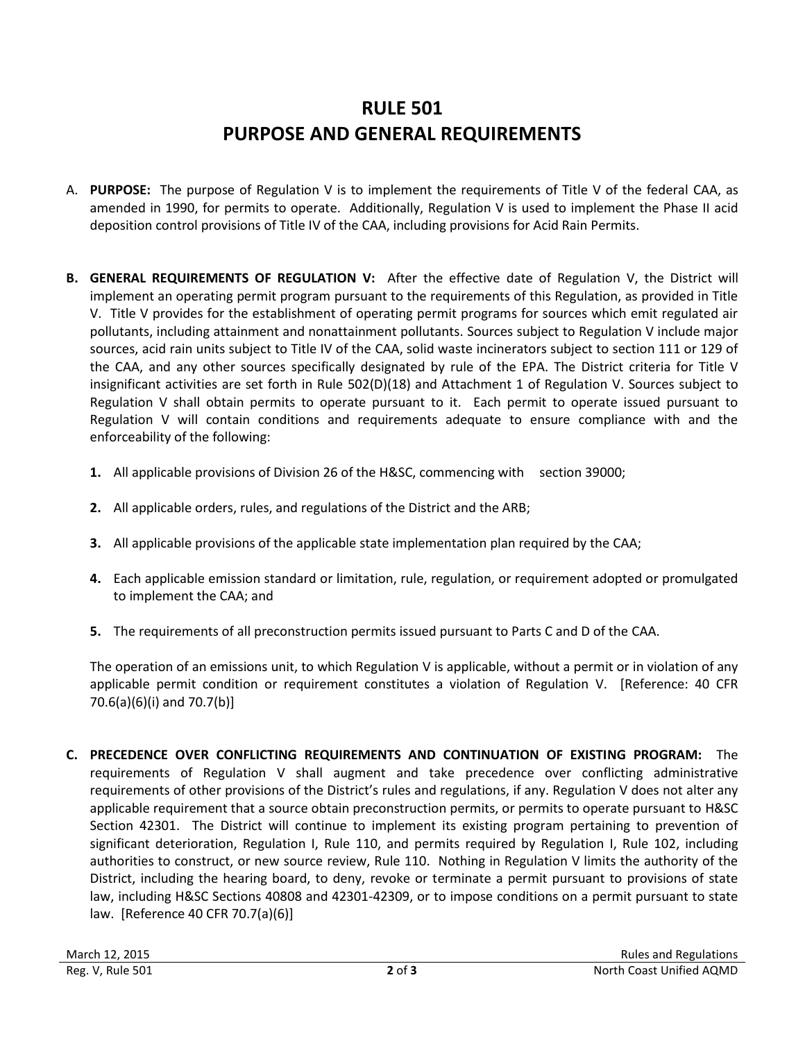## **RULE 501 PURPOSE AND GENERAL REQUIREMENTS**

- A. **PURPOSE:** The purpose of Regulation V is to implement the requirements of Title V of the federal CAA, as amended in 1990, for permits to operate. Additionally, Regulation V is used to implement the Phase II acid deposition control provisions of Title IV of the CAA, including provisions for Acid Rain Permits.
- **B. GENERAL REQUIREMENTS OF REGULATION V:** After the effective date of Regulation V, the District will implement an operating permit program pursuant to the requirements of this Regulation, as provided in Title V. Title V provides for the establishment of operating permit programs for sources which emit regulated air pollutants, including attainment and nonattainment pollutants. Sources subject to Regulation V include major sources, acid rain units subject to Title IV of the CAA, solid waste incinerators subject to section 111 or 129 of the CAA, and any other sources specifically designated by rule of the EPA. The District criteria for Title V insignificant activities are set forth in Rule 502(D)(18) and Attachment 1 of Regulation V. Sources subject to Regulation V shall obtain permits to operate pursuant to it. Each permit to operate issued pursuant to Regulation V will contain conditions and requirements adequate to ensure compliance with and the enforceability of the following:
	- **1.** All applicable provisions of Division 26 of the H&SC, commencing with section 39000;
	- **2.** All applicable orders, rules, and regulations of the District and the ARB;
	- **3.** All applicable provisions of the applicable state implementation plan required by the CAA;
	- **4.** Each applicable emission standard or limitation, rule, regulation, or requirement adopted or promulgated to implement the CAA; and
	- **5.** The requirements of all preconstruction permits issued pursuant to Parts C and D of the CAA.

The operation of an emissions unit, to which Regulation V is applicable, without a permit or in violation of any applicable permit condition or requirement constitutes a violation of Regulation V. [Reference: 40 CFR 70.6(a)(6)(i) and 70.7(b)]

**C. PRECEDENCE OVER CONFLICTING REQUIREMENTS AND CONTINUATION OF EXISTING PROGRAM:** The requirements of Regulation V shall augment and take precedence over conflicting administrative requirements of other provisions of the District's rules and regulations, if any. Regulation V does not alter any applicable requirement that a source obtain preconstruction permits, or permits to operate pursuant to H&SC Section 42301. The District will continue to implement its existing program pertaining to prevention of significant deterioration, Regulation I, Rule 110, and permits required by Regulation I, Rule 102, including authorities to construct, or new source review, Rule 110. Nothing in Regulation V limits the authority of the District, including the hearing board, to deny, revoke or terminate a permit pursuant to provisions of state law, including H&SC Sections 40808 and 42301-42309, or to impose conditions on a permit pursuant to state law. [Reference 40 CFR 70.7(a)(6)]